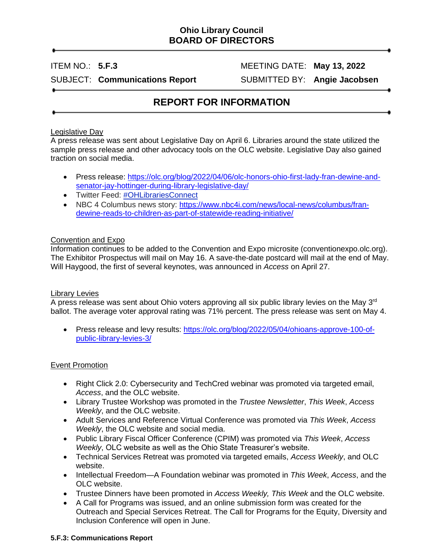# **Ohio Library Council BOARD OF DIRECTORS**

ITEM NO.: **5.F.3** MEETING DATE: **May 13, 2022**

SUBJECT: **Communications Report** SUBMITTED BY: **Angie Jacobsen**

# **REPORT FOR INFORMATION**

# Legislative Day

A press release was sent about Legislative Day on April 6. Libraries around the state utilized the sample press release and other advocacy tools on the OLC website. Legislative Day also gained traction on social media.

- Press release: [https://olc.org/blog/2022/04/06/olc-honors-ohio-first-lady-fran-dewine-and](https://olc.org/blog/2022/04/06/olc-honors-ohio-first-lady-fran-dewine-and-senator-jay-hottinger-during-library-legislative-day/)[senator-jay-hottinger-during-library-legislative-day/](https://olc.org/blog/2022/04/06/olc-honors-ohio-first-lady-fran-dewine-and-senator-jay-hottinger-during-library-legislative-day/)
- Twitter Feed: [#OHLibrariesConnect](https://twitter.com/search?q=%23ohlibrariesconnect&src=typeahead_click)
- NBC 4 Columbus news story: [https://www.nbc4i.com/news/local-news/columbus/fran](https://www.nbc4i.com/news/local-news/columbus/fran-dewine-reads-to-children-as-part-of-statewide-reading-initiative/)[dewine-reads-to-children-as-part-of-statewide-reading-initiative/](https://www.nbc4i.com/news/local-news/columbus/fran-dewine-reads-to-children-as-part-of-statewide-reading-initiative/)

## Convention and Expo

Information continues to be added to the Convention and Expo microsite (conventionexpo.olc.org). The Exhibitor Prospectus will mail on May 16. A save-the-date postcard will mail at the end of May. Will Haygood, the first of several keynotes, was announced in *Access* on April 27.

#### Library Levies

A press release was sent about Ohio voters approving all six public library levies on the May 3<sup>rd</sup> ballot. The average voter approval rating was 71% percent. The press release was sent on May 4.

• Press release and levy results: [https://olc.org/blog/2022/05/04/ohioans-approve-100-of](https://olc.org/blog/2022/05/04/ohioans-approve-100-of-public-library-levies-3/)[public-library-levies-3/](https://olc.org/blog/2022/05/04/ohioans-approve-100-of-public-library-levies-3/)

# Event Promotion

- Right Click 2.0: Cybersecurity and TechCred webinar was promoted via targeted email, *Access*, and the OLC website.
- Library Trustee Workshop was promoted in the *Trustee Newsletter*, *This Week*, *Access Weekly*, and the OLC website.
- Adult Services and Reference Virtual Conference was promoted via *This Week*, *Access Weekly*, the OLC website and social media.
- Public Library Fiscal Officer Conference (CPIM) was promoted via *This Week*, *Access Weekly*, OLC website as well as the Ohio State Treasurer's website.
- Technical Services Retreat was promoted via targeted emails, *Access Weekly*, and OLC website.
- Intellectual Freedom—A Foundation webinar was promoted in *This Week*, *Access*, and the OLC website.
- Trustee Dinners have been promoted in *Access Weekly, This Week* and the OLC website.
- A Call for Programs was issued, and an online submission form was created for the Outreach and Special Services Retreat. The Call for Programs for the Equity, Diversity and Inclusion Conference will open in June.

#### **5.F.3: Communications Report**